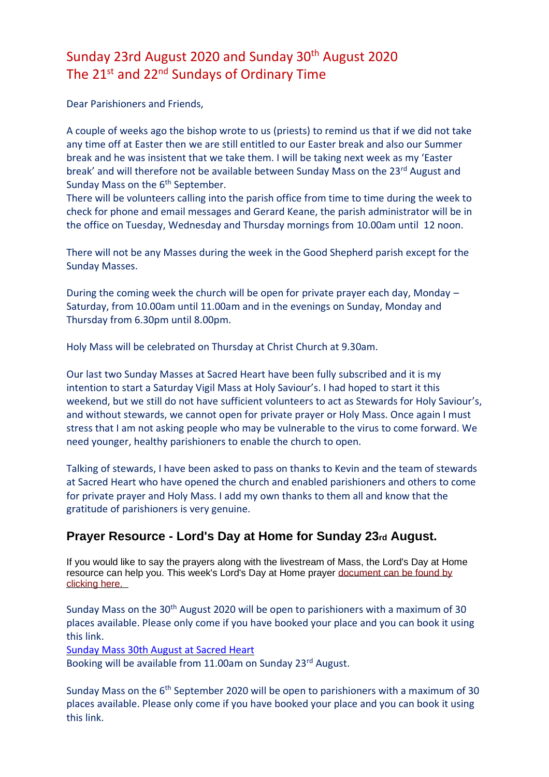# Sunday 23rd August 2020 and Sunday 30th August 2020 The 21<sup>st</sup> and 22<sup>nd</sup> Sundays of Ordinary Time

Dear Parishioners and Friends,

A couple of weeks ago the bishop wrote to us (priests) to remind us that if we did not take any time off at Easter then we are still entitled to our Easter break and also our Summer break and he was insistent that we take them. I will be taking next week as my 'Easter break' and will therefore not be available between Sunday Mass on the 23<sup>rd</sup> August and Sunday Mass on the 6<sup>th</sup> September.

There will be volunteers calling into the parish office from time to time during the week to check for phone and email messages and Gerard Keane, the parish administrator will be in the office on Tuesday, Wednesday and Thursday mornings from 10.00am until 12 noon.

There will not be any Masses during the week in the Good Shepherd parish except for the Sunday Masses.

During the coming week the church will be open for private prayer each day, Monday – Saturday, from 10.00am until 11.00am and in the evenings on Sunday, Monday and Thursday from 6.30pm until 8.00pm.

Holy Mass will be celebrated on Thursday at Christ Church at 9.30am.

Our last two Sunday Masses at Sacred Heart have been fully subscribed and it is my intention to start a Saturday Vigil Mass at Holy Saviour's. I had hoped to start it this weekend, but we still do not have sufficient volunteers to act as Stewards for Holy Saviour's, and without stewards, we cannot open for private prayer or Holy Mass. Once again I must stress that I am not asking people who may be vulnerable to the virus to come forward. We need younger, healthy parishioners to enable the church to open.

Talking of stewards, I have been asked to pass on thanks to Kevin and the team of stewards at Sacred Heart who have opened the church and enabled parishioners and others to come for private prayer and Holy Mass. I add my own thanks to them all and know that the gratitude of parishioners is very genuine.

## **Prayer Resource - Lord's Day at Home for Sunday 23rd August.**

If you would like to say the prayers along with the livestream of Mass, the Lord's Day at Home resource can help you. This week's Lord's Day at Home praye[r](https://dioceseofsalford.us6.list-manage.com/track/click?u=76e219dab8653b775ba8aac4c&id=e2494297c9&e=5ce69633f0) [document can be found by](https://dioceseofsalford.us6.list-manage.com/track/click?u=76e219dab8653b775ba8aac4c&id=7adb2c28e2&e=5ce69633f0)  [clicking here.](https://dioceseofsalford.us6.list-manage.com/track/click?u=76e219dab8653b775ba8aac4c&id=7adb2c28e2&e=5ce69633f0) 

Sunday Mass on the 30<sup>th</sup> August 2020 will be open to parishioners with a maximum of 30 places available. Please only come if you have booked your place and you can book it using this link.

[Sunday Mass 30th August at Sacred Heart](https://www.eventbrite.co.uk/e/sunday-mass-tickets-117808567597)

Booking will be available from 11.00am on Sunday 23rd August.

Sunday Mass on the 6<sup>th</sup> September 2020 will be open to parishioners with a maximum of 30 places available. Please only come if you have booked your place and you can book it using this link.